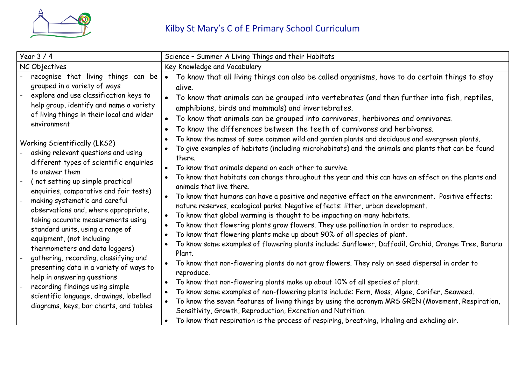

| Year $3/4$                                                                                                                                                                                                                                                                                                                                                                                                                                                                                                                                                                                                                                                                          | Science - Summer A Living Things and their Habitats                                                                                                                                                                                                                                                                                                                                                                                                                                                                                                                                                                                                                                                                                                                                                                                                                                                                                                                                                                                                                                                                                                                                                                                                                                                                                                                                                                                                                                        |  |  |  |
|-------------------------------------------------------------------------------------------------------------------------------------------------------------------------------------------------------------------------------------------------------------------------------------------------------------------------------------------------------------------------------------------------------------------------------------------------------------------------------------------------------------------------------------------------------------------------------------------------------------------------------------------------------------------------------------|--------------------------------------------------------------------------------------------------------------------------------------------------------------------------------------------------------------------------------------------------------------------------------------------------------------------------------------------------------------------------------------------------------------------------------------------------------------------------------------------------------------------------------------------------------------------------------------------------------------------------------------------------------------------------------------------------------------------------------------------------------------------------------------------------------------------------------------------------------------------------------------------------------------------------------------------------------------------------------------------------------------------------------------------------------------------------------------------------------------------------------------------------------------------------------------------------------------------------------------------------------------------------------------------------------------------------------------------------------------------------------------------------------------------------------------------------------------------------------------------|--|--|--|
| NC Objectives                                                                                                                                                                                                                                                                                                                                                                                                                                                                                                                                                                                                                                                                       | Key Knowledge and Vocabulary                                                                                                                                                                                                                                                                                                                                                                                                                                                                                                                                                                                                                                                                                                                                                                                                                                                                                                                                                                                                                                                                                                                                                                                                                                                                                                                                                                                                                                                               |  |  |  |
| recognise that living things can be<br>grouped in a variety of ways<br>explore and use classification keys to<br>help group, identify and name a variety<br>of living things in their local and wider<br>environment                                                                                                                                                                                                                                                                                                                                                                                                                                                                | To know that all living things can also be called organisms, have to do certain things to stay<br>$\bullet$<br>alive.<br>To know that animals can be grouped into vertebrates (and then further into fish, reptiles,<br>amphibians, birds and mammals) and invertebrates.<br>To know that animals can be grouped into carnivores, herbivores and omnivores.<br>To know the differences between the teeth of carnivores and herbivores.                                                                                                                                                                                                                                                                                                                                                                                                                                                                                                                                                                                                                                                                                                                                                                                                                                                                                                                                                                                                                                                     |  |  |  |
| <b>Working Scientifically (LKS2)</b><br>asking relevant questions and using<br>different types of scientific enquiries<br>to answer them<br>(not setting up simple practical<br>enquiries, comparative and fair tests)<br>making systematic and careful<br>observations and, where appropriate,<br>taking accurate measurements using<br>standard units, using a range of<br>equipment, (not including<br>thermometers and data loggers)<br>gathering, recording, classifying and<br>presenting data in a variety of ways to<br>help in answering questions<br>recording findings using simple<br>scientific language, drawings, labelled<br>diagrams, keys, bar charts, and tables | To know the names of some common wild and garden plants and deciduous and evergreen plants.<br>To give examples of habitats (including microhabitats) and the animals and plants that can be found<br>there.<br>To know that animals depend on each other to survive.<br>To know that habitats can change throughout the year and this can have an effect on the plants and<br>animals that live there.<br>To know that humans can have a positive and negative effect on the environment. Positive effects;<br>nature reserves, ecological parks. Negative effects: litter, urban development.<br>To know that global warming is thought to be impacting on many habitats.<br>$\bullet$<br>To know that flowering plants grow flowers. They use pollination in order to reproduce.<br>To know that flowering plants make up about 90% of all species of plant.<br>To know some examples of flowering plants include: Sunflower, Daffodil, Orchid, Orange Tree, Banana<br>Plant.<br>To know that non-flowering plants do not grow flowers. They rely on seed dispersal in order to<br>reproduce.<br>To know that non-flowering plants make up about 10% of all species of plant.<br>$\bullet$<br>To know some examples of non-flowering plants include: Fern, Moss, Algae, Conifer, Seaweed.<br>$\bullet$<br>To know the seven features of living things by using the acronym MRS GREN (Movement, Respiration,<br>$\bullet$<br>Sensitivity, Growth, Reproduction, Excretion and Nutrition. |  |  |  |
|                                                                                                                                                                                                                                                                                                                                                                                                                                                                                                                                                                                                                                                                                     | To know that respiration is the process of respiring, breathing, inhaling and exhaling air.                                                                                                                                                                                                                                                                                                                                                                                                                                                                                                                                                                                                                                                                                                                                                                                                                                                                                                                                                                                                                                                                                                                                                                                                                                                                                                                                                                                                |  |  |  |